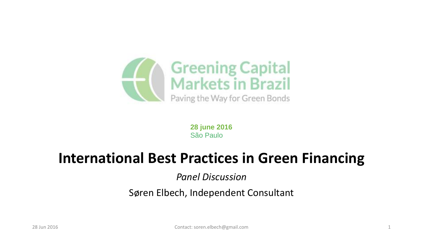

**28 june 2016** São Paulo

### **International Best Practices in Green Financing**

*Panel Discussion*

#### Søren Elbech, Independent Consultant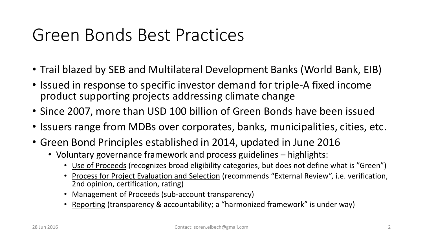## Green Bonds Best Practices

- Trail blazed by SEB and Multilateral Development Banks (World Bank, EIB)
- Issued in response to specific investor demand for triple-A fixed income product supporting projects addressing climate change
- Since 2007, more than USD 100 billion of Green Bonds have been issued
- Issuers range from MDBs over corporates, banks, municipalities, cities, etc.
- Green Bond Principles established in 2014, updated in June 2016
	- Voluntary governance framework and process guidelines highlights:
		- Use of Proceeds (recognizes broad eligibility categories, but does not define what is "Green")
		- Process for Project Evaluation and Selection (recommends "External Review", i.e. verification, 2nd opinion, certification, rating)
		- Management of Proceeds (sub-account transparency)
		- Reporting (transparency & accountability; a "harmonized framework" is under way)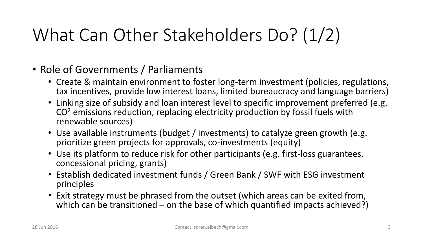# What Can Other Stakeholders Do? (1/2)

- Role of Governments / Parliaments
	- Create & maintain environment to foster long-term investment (policies, regulations, tax incentives, provide low interest loans, limited bureaucracy and language barriers)
	- Linking size of subsidy and loan interest level to specific improvement preferred (e.g. CO<sup>2</sup> emissions reduction, replacing electricity production by fossil fuels with renewable sources)
	- Use available instruments (budget / investments) to catalyze green growth (e.g. prioritize green projects for approvals, co-investments (equity)
	- Use its platform to reduce risk for other participants (e.g. first-loss guarantees, concessional pricing, grants)
	- Establish dedicated investment funds / Green Bank / SWF with ESG investment principles
	- Exit strategy must be phrased from the outset (which areas can be exited from, which can be transitioned – on the base of which quantified impacts achieved?)